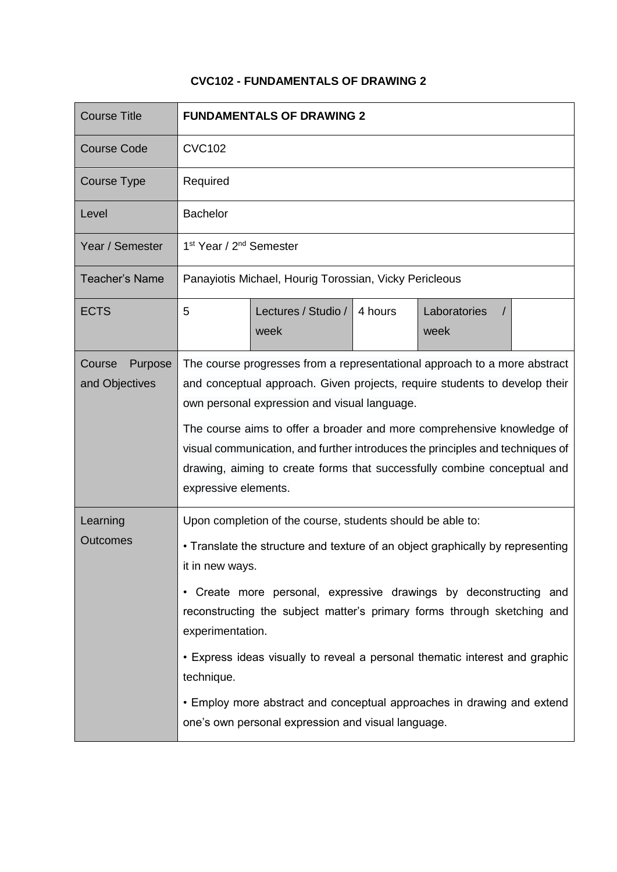## **CVC102 - FUNDAMENTALS OF DRAWING 2**

| <b>Course Title</b>                 | <b>FUNDAMENTALS OF DRAWING 2</b>                                                                                                                                                                                                                                                                                                                                                                                                                                                                                                                                 |                             |         |                                  |  |
|-------------------------------------|------------------------------------------------------------------------------------------------------------------------------------------------------------------------------------------------------------------------------------------------------------------------------------------------------------------------------------------------------------------------------------------------------------------------------------------------------------------------------------------------------------------------------------------------------------------|-----------------------------|---------|----------------------------------|--|
| <b>Course Code</b>                  | <b>CVC102</b>                                                                                                                                                                                                                                                                                                                                                                                                                                                                                                                                                    |                             |         |                                  |  |
| Course Type                         | Required                                                                                                                                                                                                                                                                                                                                                                                                                                                                                                                                                         |                             |         |                                  |  |
| Level                               | <b>Bachelor</b>                                                                                                                                                                                                                                                                                                                                                                                                                                                                                                                                                  |                             |         |                                  |  |
| Year / Semester                     | 1 <sup>st</sup> Year / 2 <sup>nd</sup> Semester                                                                                                                                                                                                                                                                                                                                                                                                                                                                                                                  |                             |         |                                  |  |
| <b>Teacher's Name</b>               | Panayiotis Michael, Hourig Torossian, Vicky Pericleous                                                                                                                                                                                                                                                                                                                                                                                                                                                                                                           |                             |         |                                  |  |
| <b>ECTS</b>                         | 5                                                                                                                                                                                                                                                                                                                                                                                                                                                                                                                                                                | Lectures / Studio /<br>week | 4 hours | Laboratories<br>$\prime$<br>week |  |
| Purpose<br>Course<br>and Objectives | The course progresses from a representational approach to a more abstract<br>and conceptual approach. Given projects, require students to develop their<br>own personal expression and visual language.<br>The course aims to offer a broader and more comprehensive knowledge of<br>visual communication, and further introduces the principles and techniques of<br>drawing, aiming to create forms that successfully combine conceptual and<br>expressive elements.                                                                                           |                             |         |                                  |  |
| Learning<br><b>Outcomes</b>         | Upon completion of the course, students should be able to:<br>• Translate the structure and texture of an object graphically by representing<br>it in new ways.<br>• Create more personal, expressive drawings by deconstructing and<br>reconstructing the subject matter's primary forms through sketching and<br>experimentation.<br>• Express ideas visually to reveal a personal thematic interest and graphic<br>technique.<br>• Employ more abstract and conceptual approaches in drawing and extend<br>one's own personal expression and visual language. |                             |         |                                  |  |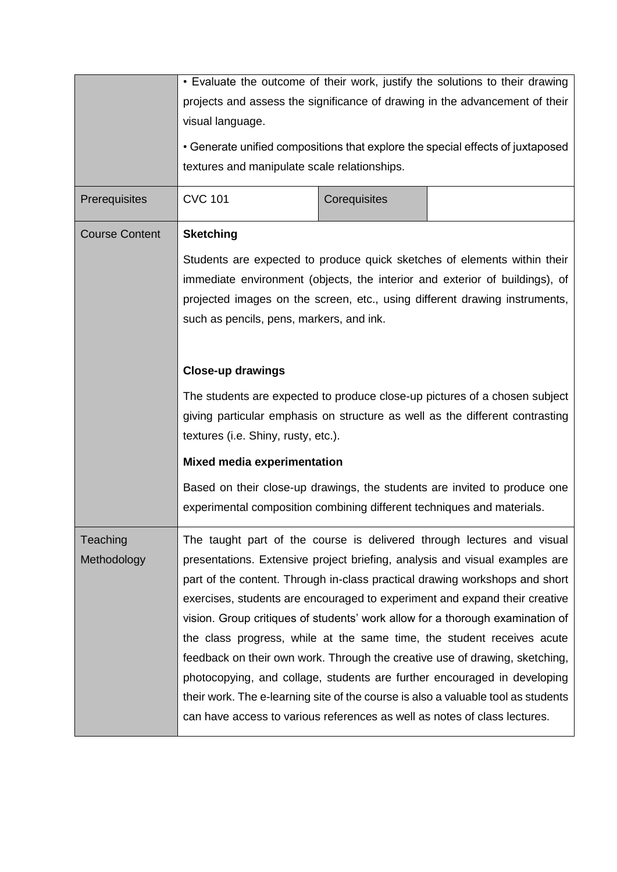|                       | • Evaluate the outcome of their work, justify the solutions to their drawing                                                                            |              |                                                                                                                                                             |  |  |
|-----------------------|---------------------------------------------------------------------------------------------------------------------------------------------------------|--------------|-------------------------------------------------------------------------------------------------------------------------------------------------------------|--|--|
|                       | projects and assess the significance of drawing in the advancement of their                                                                             |              |                                                                                                                                                             |  |  |
|                       | visual language.                                                                                                                                        |              |                                                                                                                                                             |  |  |
|                       |                                                                                                                                                         |              | • Generate unified compositions that explore the special effects of juxtaposed                                                                              |  |  |
|                       | textures and manipulate scale relationships.                                                                                                            |              |                                                                                                                                                             |  |  |
| Prerequisites         | <b>CVC 101</b>                                                                                                                                          | Corequisites |                                                                                                                                                             |  |  |
| <b>Course Content</b> | <b>Sketching</b>                                                                                                                                        |              |                                                                                                                                                             |  |  |
|                       | Students are expected to produce quick sketches of elements within their<br>immediate environment (objects, the interior and exterior of buildings), of |              |                                                                                                                                                             |  |  |
|                       |                                                                                                                                                         |              |                                                                                                                                                             |  |  |
|                       | projected images on the screen, etc., using different drawing instruments,                                                                              |              |                                                                                                                                                             |  |  |
|                       | such as pencils, pens, markers, and ink.                                                                                                                |              |                                                                                                                                                             |  |  |
|                       |                                                                                                                                                         |              |                                                                                                                                                             |  |  |
|                       | <b>Close-up drawings</b>                                                                                                                                |              |                                                                                                                                                             |  |  |
|                       | The students are expected to produce close-up pictures of a chosen subject                                                                              |              |                                                                                                                                                             |  |  |
|                       | giving particular emphasis on structure as well as the different contrasting                                                                            |              |                                                                                                                                                             |  |  |
|                       | textures (i.e. Shiny, rusty, etc.).                                                                                                                     |              |                                                                                                                                                             |  |  |
|                       | <b>Mixed media experimentation</b>                                                                                                                      |              |                                                                                                                                                             |  |  |
|                       |                                                                                                                                                         |              | Based on their close-up drawings, the students are invited to produce one                                                                                   |  |  |
|                       | experimental composition combining different techniques and materials.                                                                                  |              |                                                                                                                                                             |  |  |
| Teaching              |                                                                                                                                                         |              | The taught part of the course is delivered through lectures and visual                                                                                      |  |  |
| Methodology           |                                                                                                                                                         |              | presentations. Extensive project briefing, analysis and visual examples are                                                                                 |  |  |
|                       |                                                                                                                                                         |              | part of the content. Through in-class practical drawing workshops and short                                                                                 |  |  |
|                       |                                                                                                                                                         |              | exercises, students are encouraged to experiment and expand their creative<br>vision. Group critiques of students' work allow for a thorough examination of |  |  |
|                       |                                                                                                                                                         |              | the class progress, while at the same time, the student receives acute                                                                                      |  |  |
|                       |                                                                                                                                                         |              | feedback on their own work. Through the creative use of drawing, sketching,                                                                                 |  |  |
|                       |                                                                                                                                                         |              | photocopying, and collage, students are further encouraged in developing                                                                                    |  |  |
|                       |                                                                                                                                                         |              | their work. The e-learning site of the course is also a valuable tool as students                                                                           |  |  |
|                       | can have access to various references as well as notes of class lectures.                                                                               |              |                                                                                                                                                             |  |  |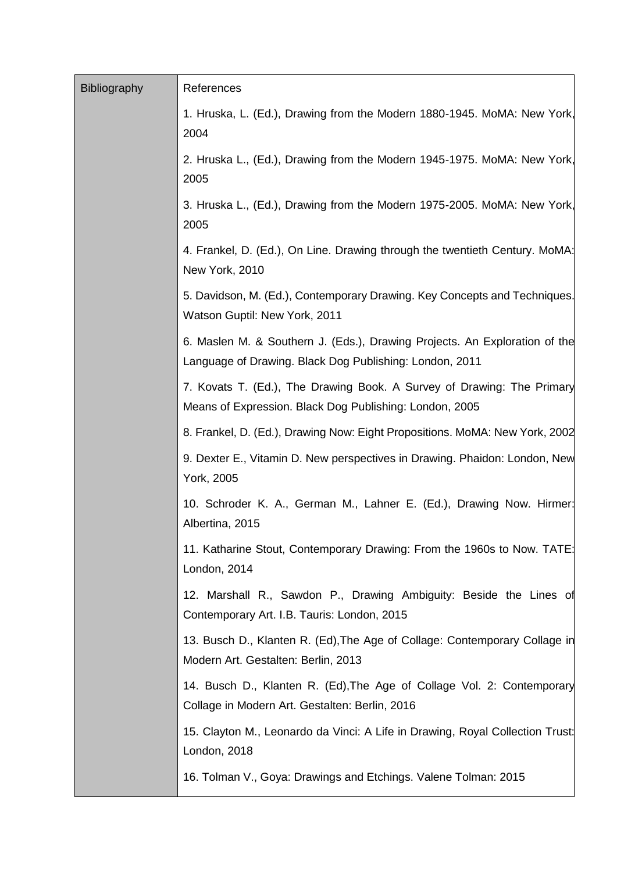| <b>Bibliography</b> | References                                                                                                                            |
|---------------------|---------------------------------------------------------------------------------------------------------------------------------------|
|                     | 1. Hruska, L. (Ed.), Drawing from the Modern 1880-1945. MoMA: New York,<br>2004                                                       |
|                     | 2. Hruska L., (Ed.), Drawing from the Modern 1945-1975. MoMA: New York,<br>2005                                                       |
|                     | 3. Hruska L., (Ed.), Drawing from the Modern 1975-2005. MoMA: New York,<br>2005                                                       |
|                     | 4. Frankel, D. (Ed.), On Line. Drawing through the twentieth Century. MoMA:<br>New York, 2010                                         |
|                     | 5. Davidson, M. (Ed.), Contemporary Drawing. Key Concepts and Techniques.<br>Watson Guptil: New York, 2011                            |
|                     | 6. Maslen M. & Southern J. (Eds.), Drawing Projects. An Exploration of the<br>Language of Drawing. Black Dog Publishing: London, 2011 |
|                     | 7. Kovats T. (Ed.), The Drawing Book. A Survey of Drawing: The Primary<br>Means of Expression. Black Dog Publishing: London, 2005     |
|                     | 8. Frankel, D. (Ed.), Drawing Now: Eight Propositions. MoMA: New York, 2002                                                           |
|                     | 9. Dexter E., Vitamin D. New perspectives in Drawing. Phaidon: London, New<br>York, 2005                                              |
|                     | 10. Schroder K. A., German M., Lahner E. (Ed.), Drawing Now. Hirmer:<br>Albertina, 2015                                               |
|                     | 11. Katharine Stout, Contemporary Drawing: From the 1960s to Now. TATE:<br>London, 2014                                               |
|                     | 12. Marshall R., Sawdon P., Drawing Ambiguity: Beside the Lines of<br>Contemporary Art. I.B. Tauris: London, 2015                     |
|                     | 13. Busch D., Klanten R. (Ed), The Age of Collage: Contemporary Collage in<br>Modern Art. Gestalten: Berlin, 2013                     |
|                     | 14. Busch D., Klanten R. (Ed), The Age of Collage Vol. 2: Contemporary<br>Collage in Modern Art. Gestalten: Berlin, 2016              |
|                     | 15. Clayton M., Leonardo da Vinci: A Life in Drawing, Royal Collection Trust:<br>London, 2018                                         |
|                     | 16. Tolman V., Goya: Drawings and Etchings. Valene Tolman: 2015                                                                       |